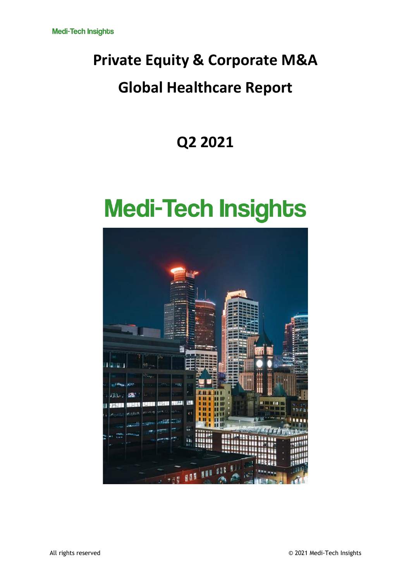## **Private Equity & Corporate M&A Global Healthcare Report**

### **Q2 2021**

# **Medi-Tech Insights**

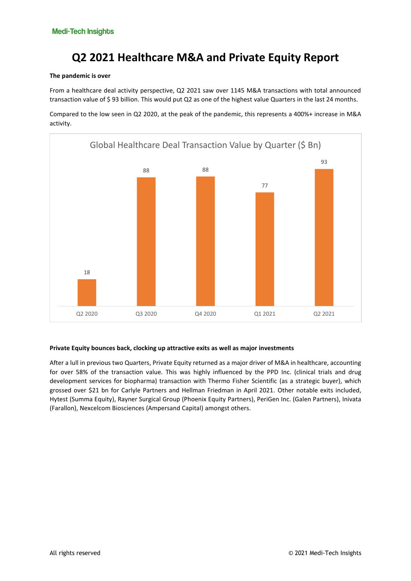### **Q2 2021 Healthcare M&A and Private Equity Report**

#### **The pandemic is over**

From a healthcare deal activity perspective, Q2 2021 saw over 1145 M&A transactions with total announced transaction value of \$ 93 billion. This would put Q2 as one of the highest value Quarters in the last 24 months.

Compared to the low seen in Q2 2020, at the peak of the pandemic, this represents a 400%+ increase in M&A activity.



#### **Private Equity bounces back, clocking up attractive exits as well as major investments**

After a lull in previous two Quarters, Private Equity returned as a major driver of M&A in healthcare, accounting for over 58% of the transaction value. This was highly influenced by the PPD Inc. (clinical trials and drug development services for biopharma) transaction with Thermo Fisher Scientific (as a strategic buyer), which grossed over \$21 bn for Carlyle Partners and Hellman Friedman in April 2021. Other notable exits included, Hytest (Summa Equity), Rayner Surgical Group (Phoenix Equity Partners), PeriGen Inc. (Galen Partners), Inivata (Farallon), Nexcelcom Biosciences (Ampersand Capital) amongst others.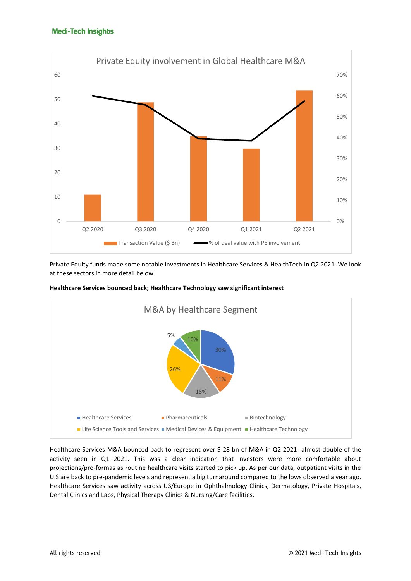

Private Equity funds made some notable investments in Healthcare Services & HealthTech in Q2 2021. We look at these sectors in more detail below.



**Healthcare Services bounced back; Healthcare Technology saw significant interest**

Healthcare Services M&A bounced back to represent over \$ 28 bn of M&A in Q2 2021- almost double of the activity seen in Q1 2021. This was a clear indication that investors were more comfortable about projections/pro-formas as routine healthcare visits started to pick up. As per our data, outpatient visits in the U.S are back to pre-pandemic levels and represent a big turnaround compared to the lows observed a year ago. Healthcare Services saw activity across US/Europe in Ophthalmology Clinics, Dermatology, Private Hospitals, Dental Clinics and Labs, Physical Therapy Clinics & Nursing/Care facilities.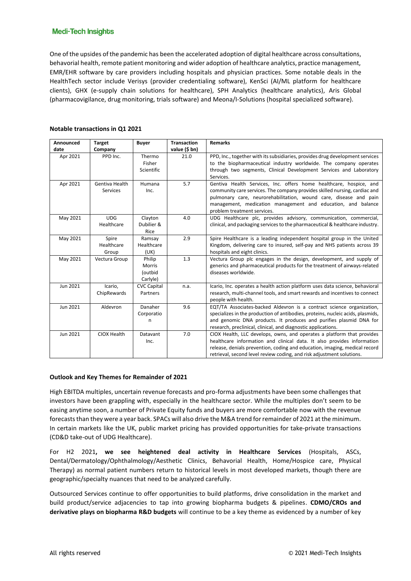#### **Medi-Tech Insights**

One of the upsides of the pandemic has been the accelerated adoption of digital healthcare across consultations, behavorial health, remote patient monitoring and wider adoption of healthcare analytics, practice management, EMR/EHR software by care providers including hospitals and physician practices. Some notable deals in the HealthTech sector include Verisys (provider credentialing software), KenSci (AI/ML platform for healthcare clients), GHX (e-supply chain solutions for healthcare), SPH Analytics (healthcare analytics), Aris Global (pharmacovigilance, drug monitoring, trials software) and Meona/I-Solutions (hospital specialized software).

| Announced | <b>Target</b>                | <b>Buyer</b>                            | <b>Transaction</b> | <b>Remarks</b>                                                                                                                                                                                                                                                                                                       |
|-----------|------------------------------|-----------------------------------------|--------------------|----------------------------------------------------------------------------------------------------------------------------------------------------------------------------------------------------------------------------------------------------------------------------------------------------------------------|
| date      | Company                      |                                         | value (\$ bn)      |                                                                                                                                                                                                                                                                                                                      |
| Apr 2021  | PPD Inc.                     | Thermo<br>Fisher<br>Scientific          | 21.0               | PPD, Inc., together with its subsidiaries, provides drug development services<br>to the biopharmaceutical industry worldwide. The company operates<br>through two segments, Clinical Development Services and Laboratory<br>Services.                                                                                |
| Apr 2021  | Gentiva Health<br>Services   | Humana<br>Inc.                          | 5.7                | Gentiva Health Services, Inc. offers home healthcare, hospice, and<br>community care services. The company provides skilled nursing, cardiac and<br>pulmonary care, neurorehabilitation, wound care, disease and pain<br>management, medication management and education, and balance<br>problem treatment services. |
| May 2021  | <b>UDG</b><br>Healthcare     | Clayton<br>Dubilier &<br>Rice           | 4.0                | UDG Healthcare plc, provides advisory, communication, commercial,<br>clinical, and packaging services to the pharmaceutical & healthcare industry.                                                                                                                                                                   |
| May 2021  | Spire<br>Healthcare<br>Group | Ramsay<br>Healthcare<br>(UK)            | 2.9                | Spire Healthcare is a leading independent hospital group in the United<br>Kingdom, delivering care to insured, self-pay and NHS patients across 39<br>hospitals and eight clinics.                                                                                                                                   |
| May 2021  | Vectura Group                | Philip<br>Morris<br>(outbid<br>Carlyle) | 1.3                | Vectura Group plc engages in the design, development, and supply of<br>generics and pharmaceutical products for the treatment of airways-related<br>diseases worldwide.                                                                                                                                              |
| Jun 2021  | Icario,<br>ChipRewards       | <b>CVC Capital</b><br>Partners          | n.a.               | Icario, Inc. operates a health action platform uses data science, behavioral<br>research, multi-channel tools, and smart rewards and incentives to connect<br>people with health.                                                                                                                                    |
| Jun 2021  | Aldevron                     | Danaher<br>Corporatio<br>n              | 9.6                | EQT/TA Associates-backed Aldevron is a contract science organization,<br>specializes in the production of antibodies, proteins, nucleic acids, plasmids,<br>and genomic DNA products. It produces and purifies plasmid DNA for<br>research, preclinical, clinical, and diagnostic applications.                      |
| Jun 2021  | CIOX Health                  | Datavant<br>Inc.                        | 7.0                | CIOX Health, LLC develops, owns, and operates a platform that provides<br>healthcare information and clinical data. It also provides information<br>release, denials prevention, coding and education, imaging, medical record<br>retrieval, second level review coding, and risk adjustment solutions.              |

#### **Notable transactions in Q1 2021**

#### **Outlook and Key Themes for Remainder of 2021**

High EBITDA multiples, uncertain revenue forecasts and pro-forma adjustments have been some challenges that investors have been grappling with, especially in the healthcare sector. While the multiples don't seem to be easing anytime soon, a number of Private Equity funds and buyers are more comfortable now with the revenue forecasts than they were a year back. SPACs will also drive the M&A trend for remainder of 2021 at the minimum. In certain markets like the UK, public market pricing has provided opportunities for take-private transactions (CD&D take-out of UDG Healthcare).

For H2 2021**, we see heightened deal activity in Healthcare Services** (Hospitals, ASCs, Dental/Dermatology/Ophthalmology/Aesthetic Clinics, Behavorial Health, Home/Hospice care, Physical Therapy) as normal patient numbers return to historical levels in most developed markets, though there are geographic/specialty nuances that need to be analyzed carefully.

Outsourced Services continue to offer opportunities to build platforms, drive consolidation in the market and build product/service adjacencies to tap into growing biopharma budgets & pipelines. **CDMO/CROs and derivative plays on biopharma R&D budgets** will continue to be a key theme as evidenced by a number of key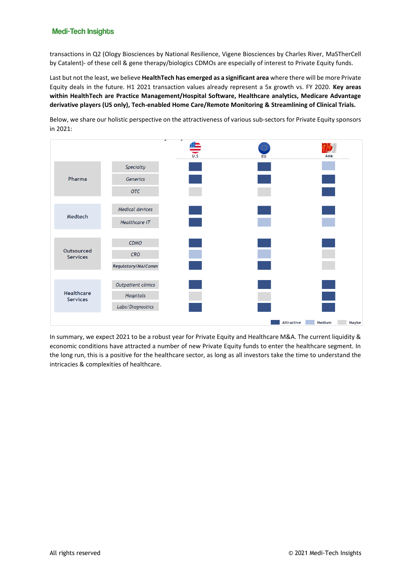#### **Medi-Tech Insights**

transactions in Q2 (Ology Biosciences by National Resilience, Vigene Biosciences by Charles River, MaSTherCell by Catalent)- of these cell & gene therapy/biologics CDMOs are especially of interest to Private Equity funds.

Last but not the least, we believe **HealthTech has emerged as a significant area** where there will be more Private Equity deals in the future. H1 2021 transaction values already represent a 5x growth vs. FY 2020. **Key areas within HealthTech are Practice Management/Hospital Software, Healthcare analytics, Medicare Advantage derivative players (US only), Tech-enabled Home Care/Remote Monitoring & Streamlining of Clinical Trials.**

Below, we share our holistic perspective on the attractiveness of various sub-sectors for Private Equity sponsors in 2021:



In summary, we expect 2021 to be a robust year for Private Equity and Healthcare M&A. The current liquidity & economic conditions have attracted a number of new Private Equity funds to enter the healthcare segment. In the long run, this is a positive for the healthcare sector, as long as all investors take the time to understand the intricacies & complexities of healthcare.